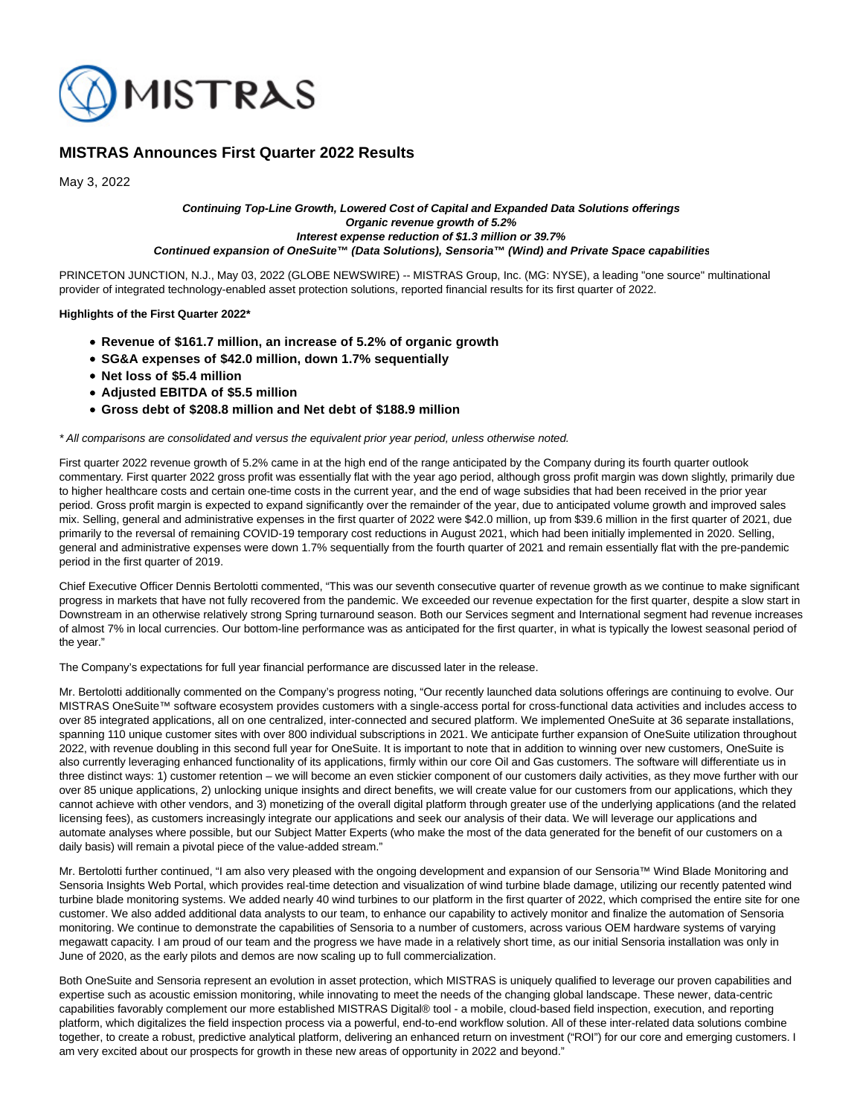

## **MISTRAS Announces First Quarter 2022 Results**

May 3, 2022

### **Continuing Top-Line Growth, Lowered Cost of Capital and Expanded Data Solutions offerings Organic revenue growth of 5.2% Interest expense reduction of \$1.3 million or 39.7% Continued expansion of OneSuite™ (Data Solutions), Sensoria™ (Wind) and Private Space capabilities**

PRINCETON JUNCTION, N.J., May 03, 2022 (GLOBE NEWSWIRE) -- MISTRAS Group, Inc. (MG: NYSE), a leading "one source" multinational provider of integrated technology-enabled asset protection solutions, reported financial results for its first quarter of 2022.

## **Highlights of the First Quarter 2022\***

- **Revenue of \$161.7 million, an increase of 5.2% of organic growth**
- **SG&A expenses of \$42.0 million, down 1.7% sequentially**
- **Net loss of \$5.4 million**
- **Adjusted EBITDA of \$5.5 million**
- **Gross debt of \$208.8 million and Net debt of \$188.9 million**

### \* All comparisons are consolidated and versus the equivalent prior year period, unless otherwise noted.

First quarter 2022 revenue growth of 5.2% came in at the high end of the range anticipated by the Company during its fourth quarter outlook commentary. First quarter 2022 gross profit was essentially flat with the year ago period, although gross profit margin was down slightly, primarily due to higher healthcare costs and certain one-time costs in the current year, and the end of wage subsidies that had been received in the prior year period. Gross profit margin is expected to expand significantly over the remainder of the year, due to anticipated volume growth and improved sales mix. Selling, general and administrative expenses in the first quarter of 2022 were \$42.0 million, up from \$39.6 million in the first quarter of 2021, due primarily to the reversal of remaining COVID-19 temporary cost reductions in August 2021, which had been initially implemented in 2020. Selling, general and administrative expenses were down 1.7% sequentially from the fourth quarter of 2021 and remain essentially flat with the pre-pandemic period in the first quarter of 2019.

Chief Executive Officer Dennis Bertolotti commented, "This was our seventh consecutive quarter of revenue growth as we continue to make significant progress in markets that have not fully recovered from the pandemic. We exceeded our revenue expectation for the first quarter, despite a slow start in Downstream in an otherwise relatively strong Spring turnaround season. Both our Services segment and International segment had revenue increases of almost 7% in local currencies. Our bottom-line performance was as anticipated for the first quarter, in what is typically the lowest seasonal period of the year."

The Company's expectations for full year financial performance are discussed later in the release.

Mr. Bertolotti additionally commented on the Company's progress noting, "Our recently launched data solutions offerings are continuing to evolve. Our MISTRAS OneSuite™ software ecosystem provides customers with a single-access portal for cross-functional data activities and includes access to over 85 integrated applications, all on one centralized, inter-connected and secured platform. We implemented OneSuite at 36 separate installations, spanning 110 unique customer sites with over 800 individual subscriptions in 2021. We anticipate further expansion of OneSuite utilization throughout 2022, with revenue doubling in this second full year for OneSuite. It is important to note that in addition to winning over new customers, OneSuite is also currently leveraging enhanced functionality of its applications, firmly within our core Oil and Gas customers. The software will differentiate us in three distinct ways: 1) customer retention – we will become an even stickier component of our customers daily activities, as they move further with our over 85 unique applications, 2) unlocking unique insights and direct benefits, we will create value for our customers from our applications, which they cannot achieve with other vendors, and 3) monetizing of the overall digital platform through greater use of the underlying applications (and the related licensing fees), as customers increasingly integrate our applications and seek our analysis of their data. We will leverage our applications and automate analyses where possible, but our Subject Matter Experts (who make the most of the data generated for the benefit of our customers on a daily basis) will remain a pivotal piece of the value-added stream."

Mr. Bertolotti further continued, "I am also very pleased with the ongoing development and expansion of our Sensoria™ Wind Blade Monitoring and Sensoria Insights Web Portal, which provides real-time detection and visualization of wind turbine blade damage, utilizing our recently patented wind turbine blade monitoring systems. We added nearly 40 wind turbines to our platform in the first quarter of 2022, which comprised the entire site for one customer. We also added additional data analysts to our team, to enhance our capability to actively monitor and finalize the automation of Sensoria monitoring. We continue to demonstrate the capabilities of Sensoria to a number of customers, across various OEM hardware systems of varying megawatt capacity. I am proud of our team and the progress we have made in a relatively short time, as our initial Sensoria installation was only in June of 2020, as the early pilots and demos are now scaling up to full commercialization.

Both OneSuite and Sensoria represent an evolution in asset protection, which MISTRAS is uniquely qualified to leverage our proven capabilities and expertise such as acoustic emission monitoring, while innovating to meet the needs of the changing global landscape. These newer, data-centric capabilities favorably complement our more established MISTRAS Digital® tool - a mobile, cloud-based field inspection, execution, and reporting platform, which digitalizes the field inspection process via a powerful, end-to-end workflow solution. All of these inter-related data solutions combine together, to create a robust, predictive analytical platform, delivering an enhanced return on investment ("ROI") for our core and emerging customers. I am very excited about our prospects for growth in these new areas of opportunity in 2022 and beyond."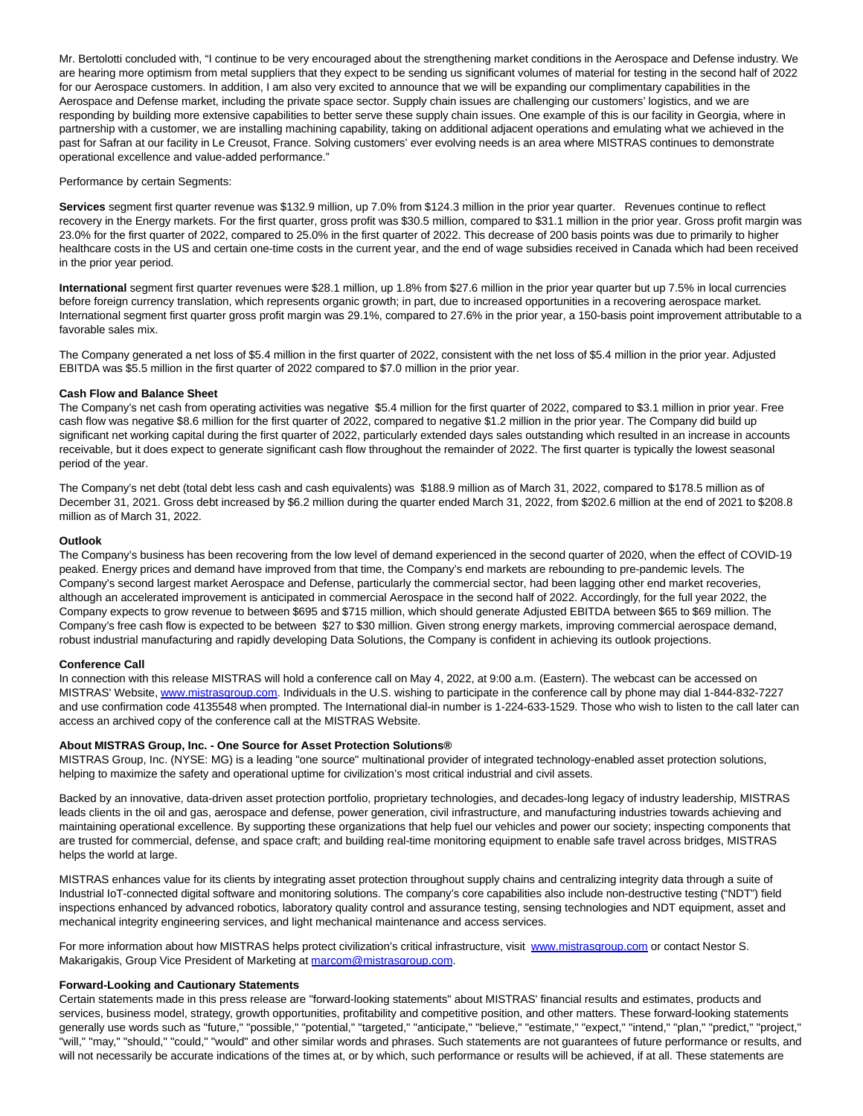Mr. Bertolotti concluded with, "I continue to be very encouraged about the strengthening market conditions in the Aerospace and Defense industry. We are hearing more optimism from metal suppliers that they expect to be sending us significant volumes of material for testing in the second half of 2022 for our Aerospace customers. In addition, I am also very excited to announce that we will be expanding our complimentary capabilities in the Aerospace and Defense market, including the private space sector. Supply chain issues are challenging our customers' logistics, and we are responding by building more extensive capabilities to better serve these supply chain issues. One example of this is our facility in Georgia, where in partnership with a customer, we are installing machining capability, taking on additional adjacent operations and emulating what we achieved in the past for Safran at our facility in Le Creusot, France. Solving customers' ever evolving needs is an area where MISTRAS continues to demonstrate operational excellence and value-added performance."

#### Performance by certain Segments:

**Services** segment first quarter revenue was \$132.9 million, up 7.0% from \$124.3 million in the prior year quarter. Revenues continue to reflect recovery in the Energy markets. For the first quarter, gross profit was \$30.5 million, compared to \$31.1 million in the prior year. Gross profit margin was 23.0% for the first quarter of 2022, compared to 25.0% in the first quarter of 2022. This decrease of 200 basis points was due to primarily to higher healthcare costs in the US and certain one-time costs in the current year, and the end of wage subsidies received in Canada which had been received in the prior year period.

**International** segment first quarter revenues were \$28.1 million, up 1.8% from \$27.6 million in the prior year quarter but up 7.5% in local currencies before foreign currency translation, which represents organic growth; in part, due to increased opportunities in a recovering aerospace market. International segment first quarter gross profit margin was 29.1%, compared to 27.6% in the prior year, a 150-basis point improvement attributable to a favorable sales mix.

The Company generated a net loss of \$5.4 million in the first quarter of 2022, consistent with the net loss of \$5.4 million in the prior year. Adjusted EBITDA was \$5.5 million in the first quarter of 2022 compared to \$7.0 million in the prior year.

## **Cash Flow and Balance Sheet**

The Company's net cash from operating activities was negative \$5.4 million for the first quarter of 2022, compared to \$3.1 million in prior year. Free cash flow was negative \$8.6 million for the first quarter of 2022, compared to negative \$1.2 million in the prior year. The Company did build up significant net working capital during the first quarter of 2022, particularly extended days sales outstanding which resulted in an increase in accounts receivable, but it does expect to generate significant cash flow throughout the remainder of 2022. The first quarter is typically the lowest seasonal period of the year.

The Company's net debt (total debt less cash and cash equivalents) was \$188.9 million as of March 31, 2022, compared to \$178.5 million as of December 31, 2021. Gross debt increased by \$6.2 million during the quarter ended March 31, 2022, from \$202.6 million at the end of 2021 to \$208.8 million as of March 31, 2022.

### **Outlook**

The Company's business has been recovering from the low level of demand experienced in the second quarter of 2020, when the effect of COVID-19 peaked. Energy prices and demand have improved from that time, the Company's end markets are rebounding to pre-pandemic levels. The Company's second largest market Aerospace and Defense, particularly the commercial sector, had been lagging other end market recoveries, although an accelerated improvement is anticipated in commercial Aerospace in the second half of 2022. Accordingly, for the full year 2022, the Company expects to grow revenue to between \$695 and \$715 million, which should generate Adjusted EBITDA between \$65 to \$69 million. The Company's free cash flow is expected to be between \$27 to \$30 million. Given strong energy markets, improving commercial aerospace demand, robust industrial manufacturing and rapidly developing Data Solutions, the Company is confident in achieving its outlook projections.

## **Conference Call**

In connection with this release MISTRAS will hold a conference call on May 4, 2022, at 9:00 a.m. (Eastern). The webcast can be accessed on MISTRAS' Website[, www.mistrasgroup.com.](https://www.globenewswire.com/Tracker?data=KgD54KMTQbdyEMr8k3mk-GDX5p8DFK9aMOXko9D5H0iQZPi-ddEK8kEdptnz-6oMVjNr0Eal3vgNgK7Tc6uyAySALgsoYi21Y0vwVQzbsFQ=) Individuals in the U.S. wishing to participate in the conference call by phone may dial 1-844-832-7227 and use confirmation code 4135548 when prompted. The International dial-in number is 1-224-633-1529. Those who wish to listen to the call later can access an archived copy of the conference call at the MISTRAS Website.

#### **About MISTRAS Group, Inc. - One Source for Asset Protection Solutions®**

MISTRAS Group, Inc. (NYSE: MG) is a leading "one source" multinational provider of integrated technology-enabled asset protection solutions, helping to maximize the safety and operational uptime for civilization's most critical industrial and civil assets.

Backed by an innovative, data-driven asset protection portfolio, proprietary technologies, and decades-long legacy of industry leadership, MISTRAS leads clients in the oil and gas, aerospace and defense, power generation, civil infrastructure, and manufacturing industries towards achieving and maintaining operational excellence. By supporting these organizations that help fuel our vehicles and power our society; inspecting components that are trusted for commercial, defense, and space craft; and building real-time monitoring equipment to enable safe travel across bridges, MISTRAS helps the world at large.

MISTRAS enhances value for its clients by integrating asset protection throughout supply chains and centralizing integrity data through a suite of Industrial IoT-connected digital software and monitoring solutions. The company's core capabilities also include non-destructive testing ("NDT") field inspections enhanced by advanced robotics, laboratory quality control and assurance testing, sensing technologies and NDT equipment, asset and mechanical integrity engineering services, and light mechanical maintenance and access services.

For more information about how MISTRAS helps protect civilization's critical infrastructure, visit [www.mistrasgroup.com o](http://www.mistrasgroup.com/)r contact Nestor S. Makarigakis, Group Vice President of Marketing at marcom@mistrasgroup.com.

#### **Forward-Looking and Cautionary Statements**

Certain statements made in this press release are "forward-looking statements" about MISTRAS' financial results and estimates, products and services, business model, strategy, growth opportunities, profitability and competitive position, and other matters. These forward-looking statements generally use words such as "future," "possible," "potential," "targeted," "anticipate," "believe," "estimate," "expect," "intend," "plan," "predict," "project," "will," "may," "should," "could," "would" and other similar words and phrases. Such statements are not guarantees of future performance or results, and will not necessarily be accurate indications of the times at, or by which, such performance or results will be achieved, if at all. These statements are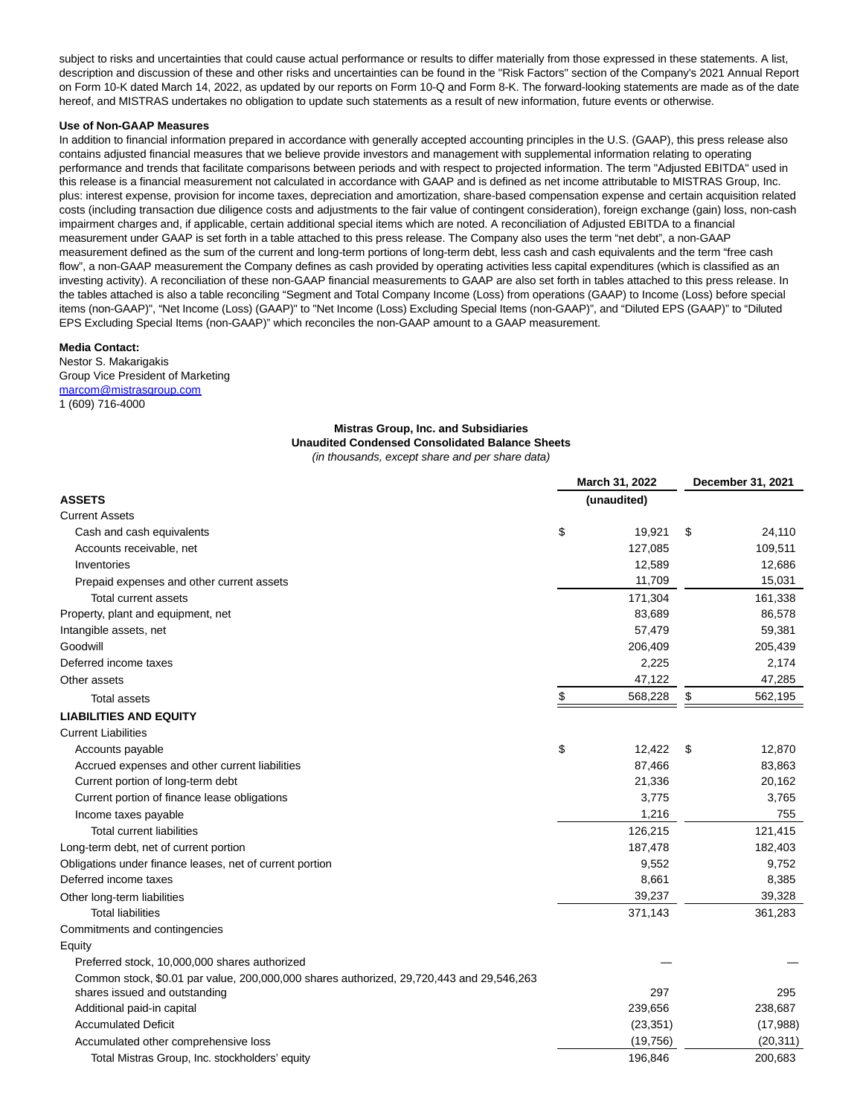subject to risks and uncertainties that could cause actual performance or results to differ materially from those expressed in these statements. A list, description and discussion of these and other risks and uncertainties can be found in the "Risk Factors" section of the Company's 2021 Annual Report on Form 10-K dated March 14, 2022, as updated by our reports on Form 10-Q and Form 8-K. The forward-looking statements are made as of the date hereof, and MISTRAS undertakes no obligation to update such statements as a result of new information, future events or otherwise.

## **Use of Non-GAAP Measures**

In addition to financial information prepared in accordance with generally accepted accounting principles in the U.S. (GAAP), this press release also contains adjusted financial measures that we believe provide investors and management with supplemental information relating to operating performance and trends that facilitate comparisons between periods and with respect to projected information. The term "Adjusted EBITDA" used in this release is a financial measurement not calculated in accordance with GAAP and is defined as net income attributable to MISTRAS Group, Inc. plus: interest expense, provision for income taxes, depreciation and amortization, share-based compensation expense and certain acquisition related costs (including transaction due diligence costs and adjustments to the fair value of contingent consideration), foreign exchange (gain) loss, non-cash impairment charges and, if applicable, certain additional special items which are noted. A reconciliation of Adjusted EBITDA to a financial measurement under GAAP is set forth in a table attached to this press release. The Company also uses the term "net debt", a non-GAAP measurement defined as the sum of the current and long-term portions of long-term debt, less cash and cash equivalents and the term "free cash flow", a non-GAAP measurement the Company defines as cash provided by operating activities less capital expenditures (which is classified as an investing activity). A reconciliation of these non-GAAP financial measurements to GAAP are also set forth in tables attached to this press release. In the tables attached is also a table reconciling "Segment and Total Company Income (Loss) from operations (GAAP) to Income (Loss) before special items (non-GAAP)", "Net Income (Loss) (GAAP)" to "Net Income (Loss) Excluding Special Items (non-GAAP)", and "Diluted EPS (GAAP)" to "Diluted EPS Excluding Special Items (non-GAAP)" which reconciles the non-GAAP amount to a GAAP measurement.

## **Media Contact:**

Nestor S. Makarigakis Group Vice President of Marketing [marcom@mistrasgroup.com](https://www.globenewswire.com/Tracker?data=af46q8YOtKc8TpYktHrD_rPMIlxPaHPTaJJCNGIShIACM5nId-IZG88IliNhjEeHOXy9Xo1_WEM3es5fvCtdxAUKPIMTDEs1e2s5fx7wp6A=) 1 (609) 716-4000

## **Mistras Group, Inc. and Subsidiaries**

**Unaudited Condensed Consolidated Balance Sheets**

(in thousands, except share and per share data)

| March 31, 2022                                                                                                            |             | December 31, 2021 |               |
|---------------------------------------------------------------------------------------------------------------------------|-------------|-------------------|---------------|
| <b>ASSETS</b>                                                                                                             | (unaudited) |                   |               |
| <b>Current Assets</b>                                                                                                     |             |                   |               |
| Cash and cash equivalents                                                                                                 | \$          | 19,921            | \$<br>24,110  |
| Accounts receivable, net                                                                                                  |             | 127,085           | 109,511       |
| Inventories                                                                                                               |             | 12,589            | 12,686        |
| Prepaid expenses and other current assets                                                                                 |             | 11,709            | 15,031        |
| Total current assets                                                                                                      |             | 171,304           | 161,338       |
| Property, plant and equipment, net                                                                                        |             | 83,689            | 86,578        |
| Intangible assets, net                                                                                                    |             | 57,479            | 59,381        |
| Goodwill                                                                                                                  |             | 206,409           | 205,439       |
| Deferred income taxes                                                                                                     |             | 2,225             | 2,174         |
| Other assets                                                                                                              |             | 47,122            | 47,285        |
| <b>Total assets</b>                                                                                                       | \$          | 568,228           | \$<br>562,195 |
| <b>LIABILITIES AND EQUITY</b>                                                                                             |             |                   |               |
| <b>Current Liabilities</b>                                                                                                |             |                   |               |
| Accounts payable                                                                                                          | \$          | 12,422            | \$<br>12,870  |
| Accrued expenses and other current liabilities                                                                            |             | 87,466            | 83,863        |
| Current portion of long-term debt                                                                                         |             | 21,336            | 20,162        |
| Current portion of finance lease obligations                                                                              |             | 3,775             | 3,765         |
| Income taxes payable                                                                                                      |             | 1,216             | 755           |
| <b>Total current liabilities</b>                                                                                          |             | 126,215           | 121,415       |
| Long-term debt, net of current portion                                                                                    |             | 187,478           | 182,403       |
| Obligations under finance leases, net of current portion                                                                  |             | 9,552             | 9,752         |
| Deferred income taxes                                                                                                     |             | 8,661             | 8,385         |
| Other long-term liabilities                                                                                               |             | 39,237            | 39,328        |
| <b>Total liabilities</b>                                                                                                  |             | 371,143           | 361,283       |
| Commitments and contingencies                                                                                             |             |                   |               |
| Equity                                                                                                                    |             |                   |               |
| Preferred stock, 10,000,000 shares authorized                                                                             |             |                   |               |
| Common stock, \$0.01 par value, 200,000,000 shares authorized, 29,720,443 and 29,546,263<br>shares issued and outstanding |             | 297               | 295           |
| Additional paid-in capital                                                                                                |             | 239,656           | 238,687       |
| <b>Accumulated Deficit</b>                                                                                                |             | (23, 351)         | (17,988)      |
| Accumulated other comprehensive loss                                                                                      |             | (19,756)          | (20, 311)     |
| Total Mistras Group, Inc. stockholders' equity                                                                            |             | 196,846           | 200,683       |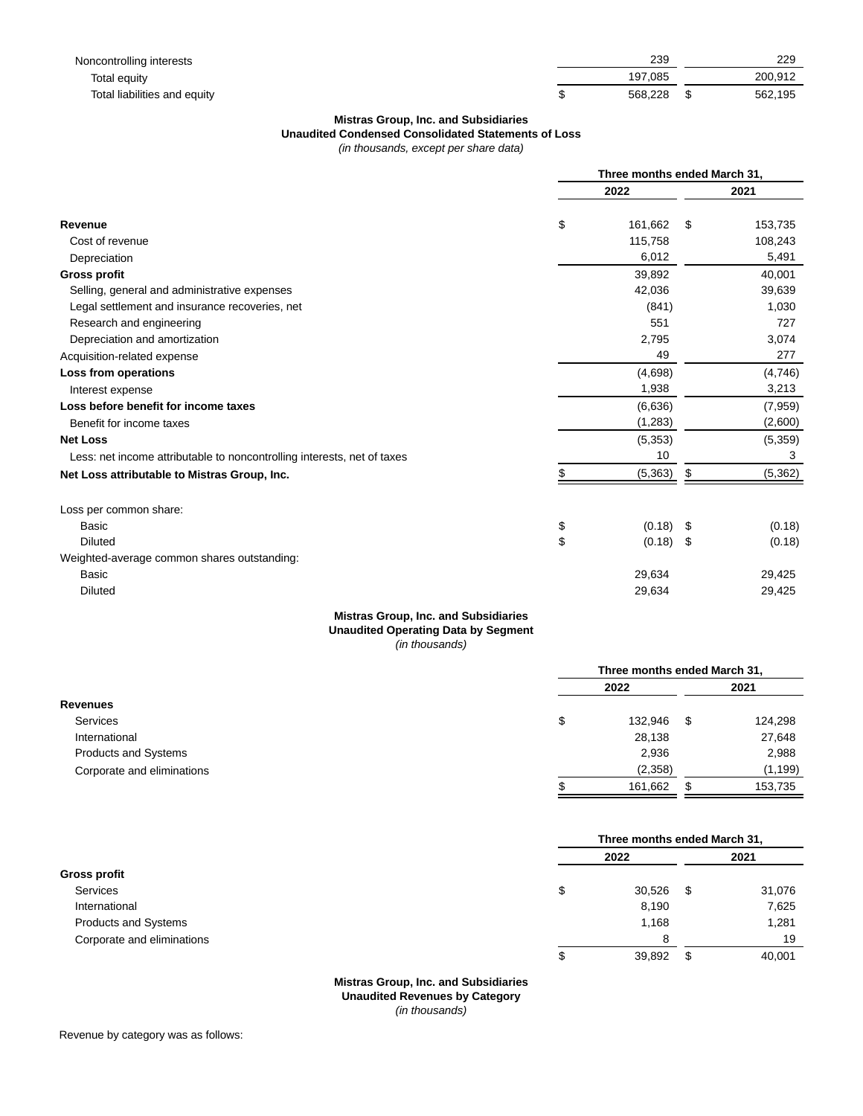| Noncontrolling interests     | 239     | 229     |
|------------------------------|---------|---------|
| Total equity                 | 197.085 | 200.912 |
| Total liabilities and equity | 568.228 | 562,195 |

## **Mistras Group, Inc. and Subsidiaries Unaudited Condensed Consolidated Statements of Loss** (in thousands, except per share data)

|                                                                         | Three months ended March 31, |          |      |          |
|-------------------------------------------------------------------------|------------------------------|----------|------|----------|
|                                                                         |                              | 2022     |      | 2021     |
| Revenue                                                                 | \$                           | 161,662  | \$   | 153,735  |
| Cost of revenue                                                         |                              | 115,758  |      | 108,243  |
| Depreciation                                                            |                              | 6,012    |      | 5,491    |
| <b>Gross profit</b>                                                     |                              | 39,892   |      | 40,001   |
| Selling, general and administrative expenses                            |                              | 42,036   |      | 39,639   |
| Legal settlement and insurance recoveries, net                          |                              | (841)    |      | 1,030    |
| Research and engineering                                                |                              | 551      |      | 727      |
| Depreciation and amortization                                           |                              | 2,795    |      | 3,074    |
| Acquisition-related expense                                             |                              | 49       |      | 277      |
| Loss from operations                                                    |                              | (4,698)  |      | (4,746)  |
| Interest expense                                                        |                              | 1,938    |      | 3,213    |
| Loss before benefit for income taxes                                    |                              | (6,636)  |      | (7,959)  |
| Benefit for income taxes                                                |                              | (1, 283) |      | (2,600)  |
| <b>Net Loss</b>                                                         |                              | (5,353)  |      | (5,359)  |
| Less: net income attributable to noncontrolling interests, net of taxes |                              | 10       |      | 3        |
| Net Loss attributable to Mistras Group, Inc.                            |                              | (5, 363) | \$   | (5, 362) |
| Loss per common share:                                                  |                              |          |      |          |
| Basic                                                                   | \$                           | (0.18)   | \$   | (0.18)   |
| <b>Diluted</b>                                                          | \$                           | (0.18)   | - \$ | (0.18)   |
| Weighted-average common shares outstanding:                             |                              |          |      |          |
| Basic                                                                   |                              | 29,634   |      | 29,425   |
| <b>Diluted</b>                                                          |                              | 29,634   |      | 29,425   |

# **Mistras Group, Inc. and Subsidiaries Unaudited Operating Data by Segment**

(in thousands)

|                             | Three months ended March 31, |  |          |  |
|-----------------------------|------------------------------|--|----------|--|
|                             | 2022                         |  | 2021     |  |
| <b>Revenues</b>             |                              |  |          |  |
| Services                    | \$<br>132,946                |  | 124,298  |  |
| International               | 28,138                       |  | 27,648   |  |
| <b>Products and Systems</b> | 2,936                        |  | 2,988    |  |
| Corporate and eliminations  | (2,358)                      |  | (1, 199) |  |
|                             | 161,662                      |  | 153,735  |  |

|                             | Three months ended March 31, |   |        |  |
|-----------------------------|------------------------------|---|--------|--|
|                             | 2022                         |   | 2021   |  |
| <b>Gross profit</b>         |                              |   |        |  |
| Services                    | \$<br>30,526                 | S | 31,076 |  |
| International               | 8,190                        |   | 7,625  |  |
| <b>Products and Systems</b> | 1,168                        |   | 1,281  |  |
| Corporate and eliminations  | 8                            |   | 19     |  |
|                             | 39,892                       |   | 40,001 |  |

## **Mistras Group, Inc. and Subsidiaries Unaudited Revenues by Category** (in thousands)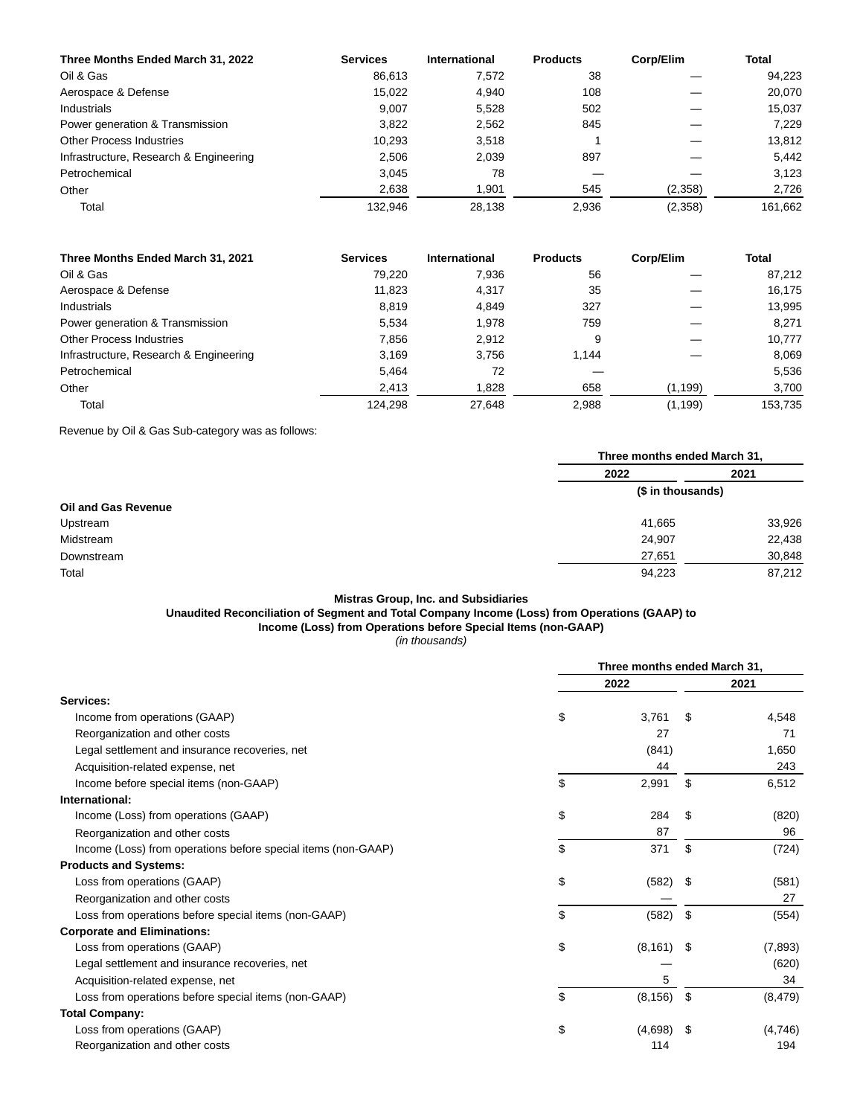| Three Months Ended March 31, 2022      | <b>Services</b> | <b>International</b> | <b>Products</b> | Corp/Elim | <b>Total</b> |
|----------------------------------------|-----------------|----------------------|-----------------|-----------|--------------|
| Oil & Gas                              | 86.613          | 7.572                | 38              |           | 94,223       |
| Aerospace & Defense                    | 15,022          | 4.940                | 108             |           | 20,070       |
| Industrials                            | 9.007           | 5,528                | 502             |           | 15,037       |
| Power generation & Transmission        | 3.822           | 2,562                | 845             |           | 7.229        |
| <b>Other Process Industries</b>        | 10.293          | 3.518                |                 |           | 13,812       |
| Infrastructure, Research & Engineering | 2.506           | 2.039                | 897             |           | 5,442        |
| Petrochemical                          | 3.045           | 78                   |                 |           | 3,123        |
| Other                                  | 2,638           | 1,901                | 545             | (2,358)   | 2,726        |
| Total                                  | 132.946         | 28.138               | 2.936           | (2,358)   | 161.662      |

| Three Months Ended March 31, 2021      | <b>Services</b> | <b>International</b> | <b>Products</b> | Corp/Elim | <b>Total</b> |
|----------------------------------------|-----------------|----------------------|-----------------|-----------|--------------|
| Oil & Gas                              | 79.220          | 7.936                | 56              |           | 87,212       |
| Aerospace & Defense                    | 11.823          | 4,317                | 35              |           | 16,175       |
| Industrials                            | 8.819           | 4.849                | 327             |           | 13,995       |
| Power generation & Transmission        | 5.534           | 1.978                | 759             |           | 8.271        |
| <b>Other Process Industries</b>        | 7.856           | 2,912                | 9               |           | 10,777       |
| Infrastructure, Research & Engineering | 3.169           | 3.756                | 1.144           |           | 8.069        |
| Petrochemical                          | 5.464           | 72                   |                 |           | 5,536        |
| Other                                  | 2,413           | 1,828                | 658             | (1, 199)  | 3,700        |
| Total                                  | 124.298         | 27.648               | 2.988           | (1, 199)  | 153.735      |

Revenue by Oil & Gas Sub-category was as follows:

|                     |                   | Three months ended March 31, |  |  |  |  |
|---------------------|-------------------|------------------------------|--|--|--|--|
|                     | 2022              | 2021                         |  |  |  |  |
|                     | (\$ in thousands) |                              |  |  |  |  |
| Oil and Gas Revenue |                   |                              |  |  |  |  |
| Upstream            | 41,665            | 33,926                       |  |  |  |  |
| Midstream           | 24,907            | 22,438                       |  |  |  |  |
| Downstream          | 27,651            | 30,848                       |  |  |  |  |
| Total               | 94,223            | 87,212                       |  |  |  |  |

## **Mistras Group, Inc. and Subsidiaries**

#### **Unaudited Reconciliation of Segment and Total Company Income (Loss) from Operations (GAAP) to Income (Loss) from Operations before Special Items (non-GAAP)**

(in thousands)

|                                                               | Three months ended March 31, |          |    |          |
|---------------------------------------------------------------|------------------------------|----------|----|----------|
|                                                               |                              | 2022     |    | 2021     |
| Services:                                                     |                              |          |    |          |
| Income from operations (GAAP)                                 | \$                           | 3,761    | S  | 4,548    |
| Reorganization and other costs                                |                              | 27       |    | 71       |
| Legal settlement and insurance recoveries, net                |                              | (841)    |    | 1,650    |
| Acquisition-related expense, net                              |                              | 44       |    | 243      |
| Income before special items (non-GAAP)                        | \$                           | 2,991    | \$ | 6,512    |
| International:                                                |                              |          |    |          |
| Income (Loss) from operations (GAAP)                          | \$                           | 284      | \$ | (820)    |
| Reorganization and other costs                                |                              | 87       |    | 96       |
| Income (Loss) from operations before special items (non-GAAP) | \$                           | 371      | \$ | (724)    |
| <b>Products and Systems:</b>                                  |                              |          |    |          |
| Loss from operations (GAAP)                                   | \$                           | (582)    | S. | (581)    |
| Reorganization and other costs                                |                              |          |    | 27       |
| Loss from operations before special items (non-GAAP)          | \$                           | (582)    | \$ | (554)    |
| <b>Corporate and Eliminations:</b>                            |                              |          |    |          |
| Loss from operations (GAAP)                                   | \$                           | (8, 161) | \$ | (7,893)  |
| Legal settlement and insurance recoveries, net                |                              |          |    | (620)    |
| Acquisition-related expense, net                              |                              | 5        |    | 34       |
| Loss from operations before special items (non-GAAP)          | \$                           | (8, 156) | \$ | (8, 479) |
| <b>Total Company:</b>                                         |                              |          |    |          |
| Loss from operations (GAAP)                                   | \$                           | (4,698)  | S  | (4,746)  |
| Reorganization and other costs                                |                              | 114      |    | 194      |
|                                                               |                              |          |    |          |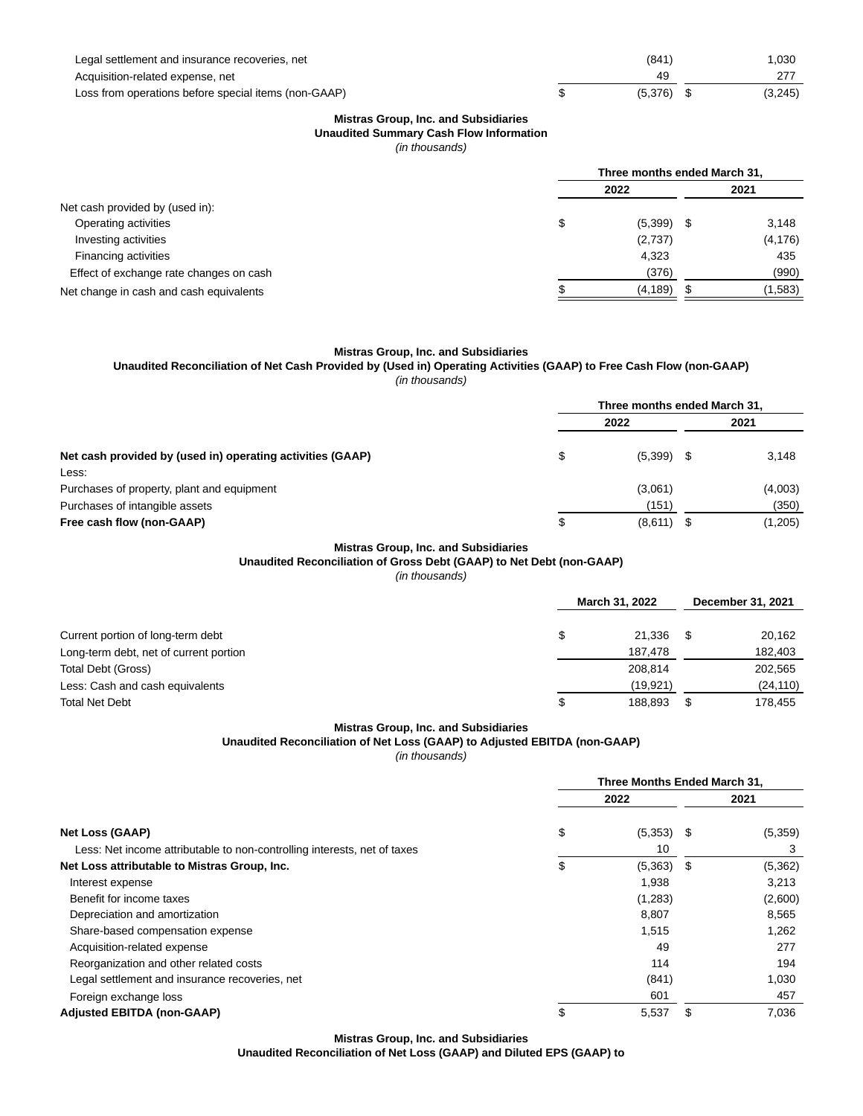| Legal settlement and insurance recoveries, net       | (841    | 1.030   |
|------------------------------------------------------|---------|---------|
| Acquisition-related expense, net                     | 49      |         |
| Loss from operations before special items (non-GAAP) | (5.376) | (3,245) |

## **Mistras Group, Inc. and Subsidiaries Unaudited Summary Cash Flow Information** (in thousands)

|                                         | Three months ended March 31, |          |  |          |
|-----------------------------------------|------------------------------|----------|--|----------|
|                                         |                              | 2022     |  | 2021     |
| Net cash provided by (used in):         |                              |          |  |          |
| Operating activities                    | \$                           | (5,399)  |  | 3.148    |
| Investing activities                    |                              | (2,737)  |  | (4, 176) |
| Financing activities                    |                              | 4,323    |  | 435      |
| Effect of exchange rate changes on cash |                              | (376)    |  | (990)    |
| Net change in cash and cash equivalents |                              | (4, 189) |  | (1,583)  |

### **Mistras Group, Inc. and Subsidiaries**

## **Unaudited Reconciliation of Net Cash Provided by (Used in) Operating Activities (GAAP) to Free Cash Flow (non-GAAP)**

(in thousands)

|                                                            | Three months ended March 31, |         |  |         |  |
|------------------------------------------------------------|------------------------------|---------|--|---------|--|
|                                                            |                              | 2022    |  |         |  |
| Net cash provided by (used in) operating activities (GAAP) | \$                           | (5,399) |  | 3,148   |  |
| Less:                                                      |                              |         |  |         |  |
| Purchases of property, plant and equipment                 |                              | (3,061) |  | (4,003) |  |
| Purchases of intangible assets                             |                              | (151)   |  | (350)   |  |
| Free cash flow (non-GAAP)                                  |                              | (8,611) |  | (1,205) |  |

## **Mistras Group, Inc. and Subsidiaries**

**Unaudited Reconciliation of Gross Debt (GAAP) to Net Debt (non-GAAP)**

(in thousands)

|                                        | March 31, 2022 |           | December 31, 2021 |           |
|----------------------------------------|----------------|-----------|-------------------|-----------|
|                                        |                |           |                   |           |
| Current portion of long-term debt      | \$             | 21.336    |                   | 20,162    |
| Long-term debt, net of current portion |                | 187.478   |                   | 182.403   |
| Total Debt (Gross)                     |                | 208.814   |                   | 202,565   |
| Less: Cash and cash equivalents        |                | (19, 921) |                   | (24, 110) |
| <b>Total Net Debt</b>                  | S              | 188.893   |                   | 178,455   |

## **Mistras Group, Inc. and Subsidiaries**

**Unaudited Reconciliation of Net Loss (GAAP) to Adjusted EBITDA (non-GAAP)**

(in thousands)

|                                                                          | Three Months Ended March 31. |              |    |         |
|--------------------------------------------------------------------------|------------------------------|--------------|----|---------|
|                                                                          |                              | 2022         |    | 2021    |
| <b>Net Loss (GAAP)</b>                                                   | \$                           | $(5,353)$ \$ |    | (5,359) |
| Less: Net income attributable to non-controlling interests, net of taxes |                              | 10           |    | 3       |
| Net Loss attributable to Mistras Group, Inc.                             | \$                           | (5,363)      | \$ | (5,362) |
| Interest expense                                                         |                              | 1,938        |    | 3,213   |
| Benefit for income taxes                                                 |                              | (1,283)      |    | (2,600) |
| Depreciation and amortization                                            |                              | 8,807        |    | 8,565   |
| Share-based compensation expense                                         |                              | 1,515        |    | 1,262   |
| Acquisition-related expense                                              |                              | 49           |    | 277     |
| Reorganization and other related costs                                   |                              | 114          |    | 194     |
| Legal settlement and insurance recoveries, net                           |                              | (841)        |    | 1,030   |
| Foreign exchange loss                                                    |                              | 601          |    | 457     |
| <b>Adjusted EBITDA (non-GAAP)</b>                                        | \$                           | 5,537        |    | 7,036   |

**Mistras Group, Inc. and Subsidiaries**

**Unaudited Reconciliation of Net Loss (GAAP) and Diluted EPS (GAAP) to**